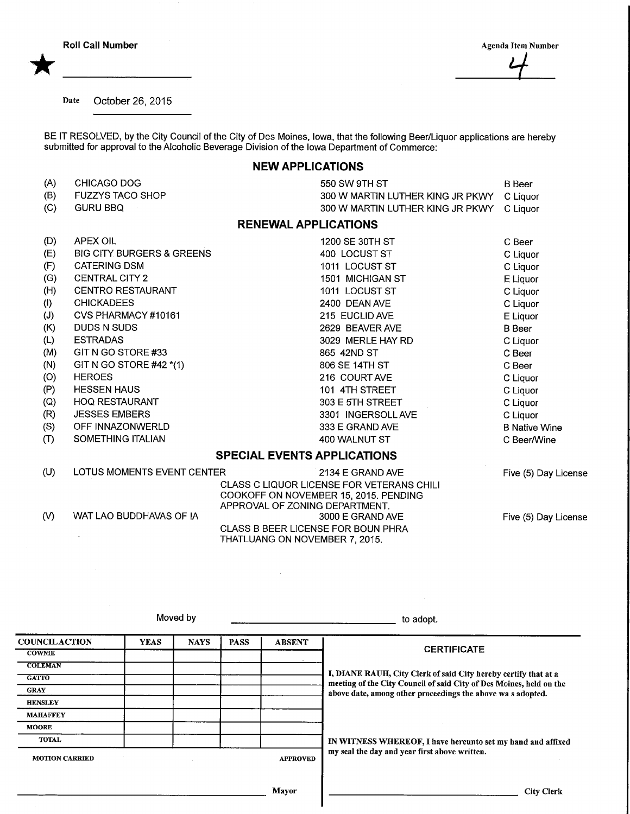\*

Date October 26, 2015

BE IT RESOLVED, by the City Council of the City of Des Moines, Iowa, that the following Beer/Liquor applications are hereby submitted for approval to the Alcoholic Beverage Division of the Iowa Department of Commerce:

## NEW APPLICATIONS

| (A)                                | CHICAGO DOG                                                             | 550 SW 9TH ST                             | <b>B</b> Beer        |  |
|------------------------------------|-------------------------------------------------------------------------|-------------------------------------------|----------------------|--|
| (B)                                | <b>FUZZYS TACO SHOP</b>                                                 | 300 W MARTIN LUTHER KING JR PKWY          | C Liquor             |  |
| (C)                                | <b>GURU BBQ</b>                                                         | 300 W MARTIN LUTHER KING JR PKWY          | C Liquor             |  |
| <b>RENEWAL APPLICATIONS</b>        |                                                                         |                                           |                      |  |
| (D)                                | <b>APEX OIL</b>                                                         | 1200 SE 30TH ST                           | C Beer               |  |
| (E)                                | <b>BIG CITY BURGERS &amp; GREENS</b>                                    | 400 LOCUST ST                             | C Liquor             |  |
| (F)                                | <b>CATERING DSM</b>                                                     | 1011 LOCUST ST                            | C Liquor             |  |
| (G)                                | <b>CENTRAL CITY 2</b>                                                   | 1501 MICHIGAN ST                          | E Liquor             |  |
| (H)                                | <b>CENTRO RESTAURANT</b>                                                | 1011 LOCUST ST                            | C Liquor             |  |
| (1)                                | <b>CHICKADEES</b>                                                       | 2400 DEAN AVE                             | C Liquor             |  |
| (J)                                | CVS PHARMACY #10161                                                     | 215 EUCLID AVE                            | E Liquor             |  |
| (K)                                | DUDS N SUDS                                                             | 2629 BEAVER AVE                           | <b>B</b> Beer        |  |
| (L)                                | <b>ESTRADAS</b>                                                         | 3029 MERLE HAY RD                         | C Liquor             |  |
| (M)                                | GIT N GO STORE #33                                                      | 865 42ND ST                               | C Beer               |  |
| (N)                                | GIT N GO STORE #42 *(1)                                                 | 806 SE 14TH ST                            | C Beer               |  |
| (O)                                | <b>HEROES</b>                                                           | 216 COURT AVE                             | C Liquor             |  |
| (P)                                | <b>HESSEN HAUS</b>                                                      | 101 4TH STREET                            | C Liquor             |  |
| (Q)                                | <b>HOQ RESTAURANT</b>                                                   | 303 E 5TH STREET                          | C Liquor             |  |
| (R)                                | <b>JESSES EMBERS</b>                                                    | 3301 INGERSOLL AVE                        | C Liquor             |  |
| (S)                                | OFF INNAZONWERLD                                                        | 333 E GRAND AVE                           | <b>B</b> Native Wine |  |
| (T)                                | SOMETHING ITALIAN                                                       | 400 WALNUT ST                             | C Beer/Wine          |  |
| <b>SPECIAL EVENTS APPLICATIONS</b> |                                                                         |                                           |                      |  |
| (U)                                | LOTUS MOMENTS EVENT CENTER                                              | 2134 E GRAND AVE                          | Five (5) Day License |  |
|                                    |                                                                         | CLASS C LIQUOR LICENSE FOR VETERANS CHILI |                      |  |
|                                    | COOKOFF ON NOVEMBER 15, 2015. PENDING<br>APPROVAL OF ZONING DEPARTMENT. |                                           |                      |  |
| $\mathcal{N}$                      | WAT LAO BUDDHAVAS OF IA                                                 | 3000 E GRAND AVE                          | Five (5) Day License |  |
|                                    |                                                                         |                                           |                      |  |

Moved by  $\frac{1}{2}$  to adopt. **COUNCILACTION COWNIE COLEMAN GATTO** GRAY **HENSLEY** MAHAFFEY MOORE TOTAL MOTION CARRIED YEAS | NAYS | PASS | ABSENT APPROVED Mayor **CERTIFICATE** I, DIANE RAUH, City Clerk of said City hereby certify that at a meeting of the City Council of said City of Des Moines, held on the above date, among other proceedings the above wa s adopted. IN WITNESS WHEREOF, I have hereunto set my hand and affixed my seal the day and year first above written. City Clerk

 $\sim$ 

CLASS B BEER LICENSE FOR BOUN PHRA THATLUANG ON NOVEMBER 7, 2015.